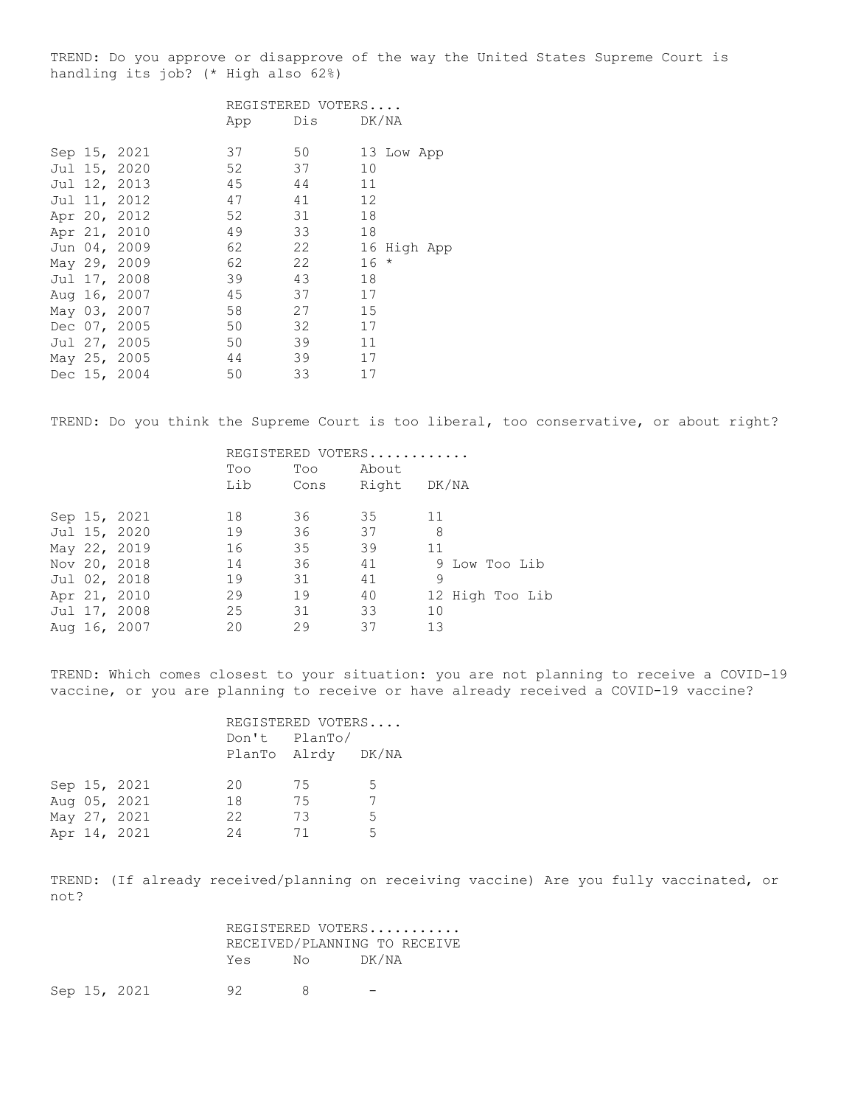TREND: Do you approve or disapprove of the way the United States Supreme Court is handling its job? (\* High also 62%)

|  |              |     | REGISTERED VOTERS |        |             |  |
|--|--------------|-----|-------------------|--------|-------------|--|
|  |              | App | Dis DK/NA         |        |             |  |
|  | Sep 15, 2021 | 37  | 50                |        | 13 Low App  |  |
|  | Jul 15, 2020 | 52  | 37                | 10     |             |  |
|  | Jul 12, 2013 | 45  | 44                | 11     |             |  |
|  | Jul 11, 2012 | 47  | 41                | 12     |             |  |
|  | Apr 20, 2012 | 52  | 31                | 18     |             |  |
|  | Apr 21, 2010 | 49  | 33                | 18     |             |  |
|  | Jun 04, 2009 | 62  | 22                |        | 16 High App |  |
|  | May 29, 2009 | 62  | 22                | $16 *$ |             |  |
|  | Jul 17, 2008 | 39  | 43                | 18     |             |  |
|  | Aug 16, 2007 | 45  | 37                | 17     |             |  |
|  | May 03, 2007 | 58  | 27                | 15     |             |  |
|  | Dec 07, 2005 | 50  | 32                | 17     |             |  |
|  | Jul 27, 2005 | 50  | 39                | 11     |             |  |
|  | May 25, 2005 | 44  | 39                | 17     |             |  |
|  | Dec 15, 2004 | 50  | 33                | 17     |             |  |

TREND: Do you think the Supreme Court is too liberal, too conservative, or about right?

|  |              | REGISTERED VOTERS |      |             |                 |  |
|--|--------------|-------------------|------|-------------|-----------------|--|
|  |              | Too               | Too  | About       |                 |  |
|  |              | Lib               | Cons | Right DK/NA |                 |  |
|  | Sep 15, 2021 | 18                | 36   | 35          | 11              |  |
|  | Jul 15, 2020 | 19                | 36   | 37          | 8               |  |
|  | May 22, 2019 | 16                | 35   | 39          | 11              |  |
|  | Nov 20, 2018 | 14                | 36   | 41          | 9 Low Too Lib   |  |
|  | Jul 02, 2018 | 19                | 31   | 41          | 9               |  |
|  | Apr 21, 2010 | 29                | 19   | 40          | 12 High Too Lib |  |
|  | Jul 17, 2008 | 25                | 31   | 33          | 10              |  |
|  | Aug 16, 2007 | 20                | 29   | 37          | 13              |  |

TREND: Which comes closest to your situation: you are not planning to receive a COVID-19 vaccine, or you are planning to receive or have already received a COVID-19 vaccine?

|  |              |    | REGISTERED VOTERS<br>Don't PlanTo/<br>PlanTo Alrdy DK/NA |    |
|--|--------------|----|----------------------------------------------------------|----|
|  | Sep 15, 2021 | 20 | 75                                                       | .5 |
|  | Aug 05, 2021 | 18 | 75                                                       |    |
|  | May 27, 2021 | 22 | 73                                                       | 5  |
|  | Apr 14, 2021 | 24 | 71                                                       | 5  |

TREND: (If already received/planning on receiving vaccine) Are you fully vaccinated, or not?

|  |              |     |                | REGISTERED VOTERS<br>RECEIVED/PLANNING TO RECEIVE |
|--|--------------|-----|----------------|---------------------------------------------------|
|  |              | Yes | $N_{\bigcirc}$ | DK/NA                                             |
|  | Sep 15, 2021 | 92. |                |                                                   |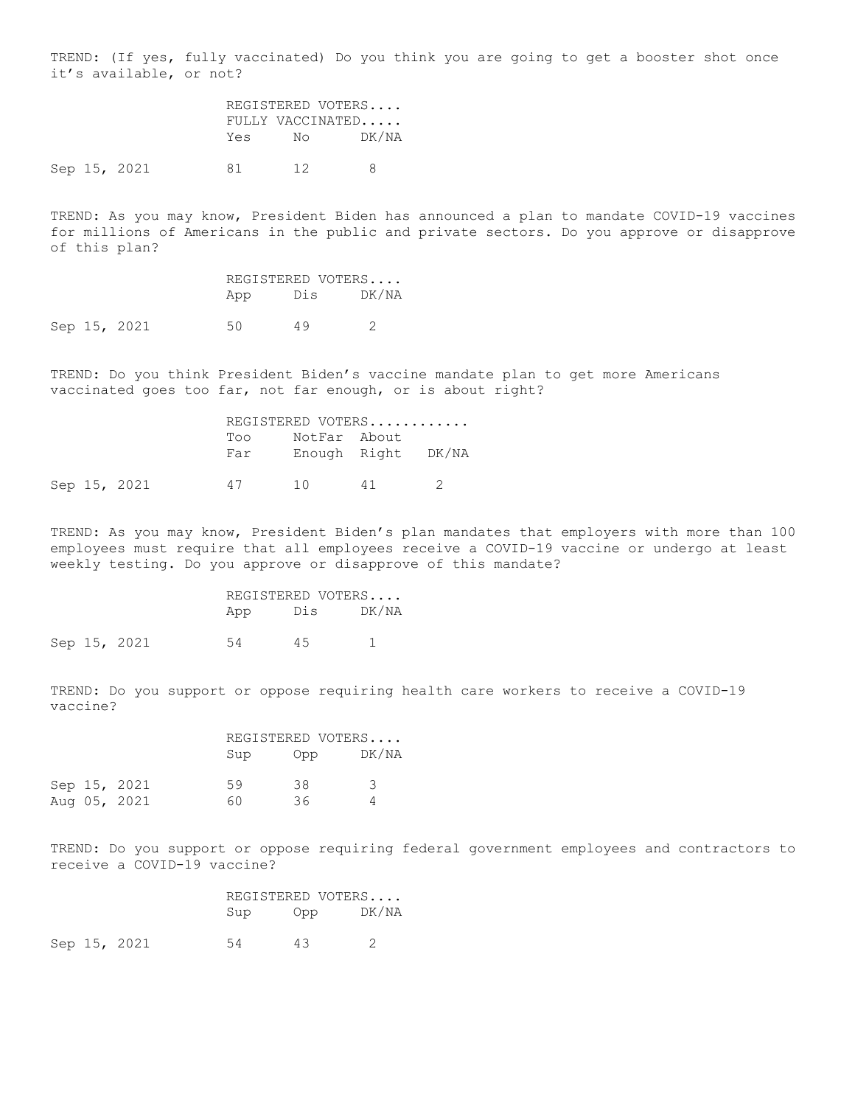TREND: (If yes, fully vaccinated) Do you think you are going to get a booster shot once it's available, or not?

> REGISTERED VOTERS.... FULLY VACCINATED..... Yes No DK/NA

Sep 15, 2021 81 12 8

TREND: As you may know, President Biden has announced a plan to mandate COVID-19 vaccines for millions of Americans in the public and private sectors. Do you approve or disapprove of this plan?

| REGISTERED VOTERS |     |       |
|-------------------|-----|-------|
| App               | Dis | DK/NA |

Sep 15, 2021 50 49 2

TREND: Do you think President Biden's vaccine mandate plan to get more Americans vaccinated goes too far, not far enough, or is about right?

|  |              | REGISTERED VOTERS |              |                    |  |  |  |
|--|--------------|-------------------|--------------|--------------------|--|--|--|
|  |              | Too               | NotFar About |                    |  |  |  |
|  |              | Far               |              | Enough Right DK/NA |  |  |  |
|  | Sep 15, 2021 | 47                | 10           | 41                 |  |  |  |

TREND: As you may know, President Biden's plan mandates that employers with more than 100 employees must require that all employees receive a COVID-19 vaccine or undergo at least weekly testing. Do you approve or disapprove of this mandate?

|     | REGISTERED VOTERS |       |
|-----|-------------------|-------|
| App | Dis               | DK/NA |
|     |                   |       |

Sep 15, 2021 54 45 1

TREND: Do you support or oppose requiring health care workers to receive a COVID-19 vaccine?

|  |              | REGISTERED VOTERS |     |       |  |
|--|--------------|-------------------|-----|-------|--|
|  |              | Sup               | Opp | DK/NA |  |
|  | Sep 15, 2021 | 59                | 38  | ़     |  |
|  | Aug 05, 2021 | 60                | 36. |       |  |

TREND: Do you support or oppose requiring federal government employees and contractors to receive a COVID-19 vaccine?

|  |              |     | REGISTERED VOTERS |       |  |
|--|--------------|-----|-------------------|-------|--|
|  |              | Sup | Opp               | DK/NA |  |
|  | Sep 15, 2021 | 54  | 43.               |       |  |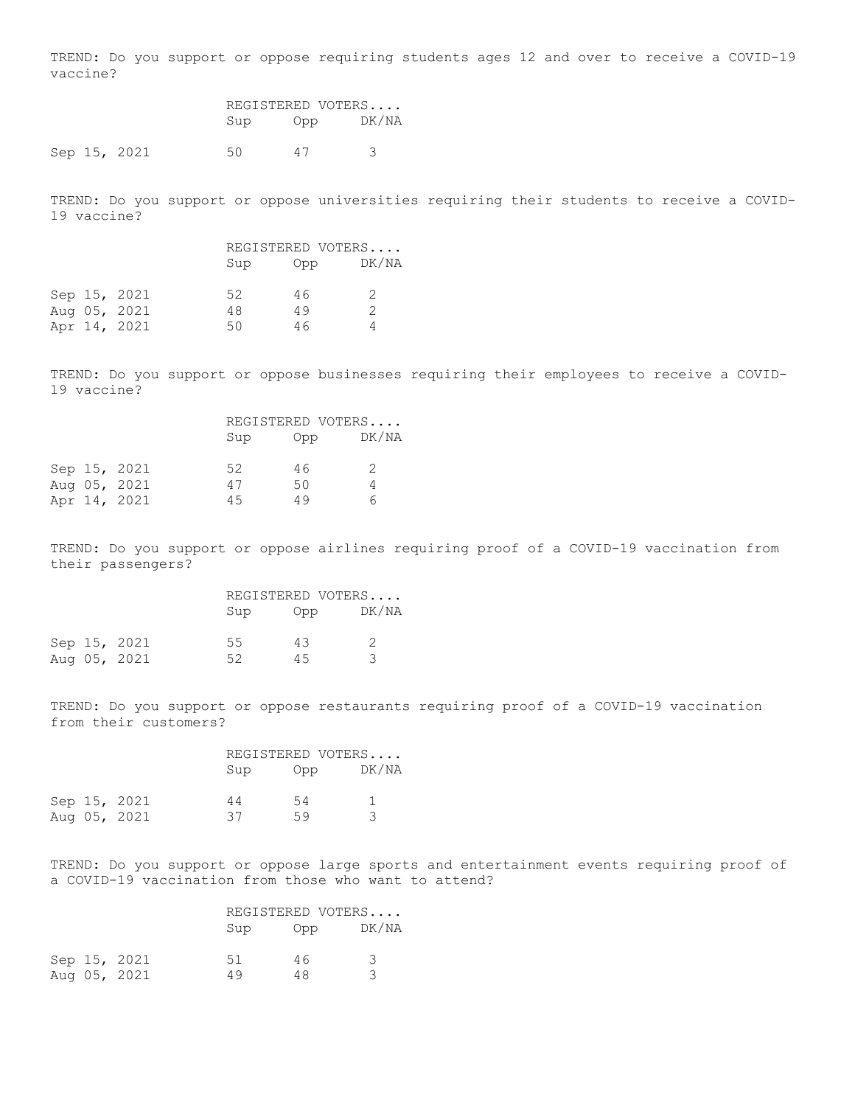TREND: Do you support or oppose requiring students ages 12 and over to receive a COVID-19 vaccine?

|  |              | REGISTERED VOTERS |     |       |
|--|--------------|-------------------|-----|-------|
|  |              | Sup               | Opp | DK/NA |
|  | Sep 15, 2021 | 50.               | 47  |       |

TREND: Do you support or oppose universities requiring their students to receive a COVID-19 vaccine?

|  |              | REGISTERED VOTERS |     |               |  |
|--|--------------|-------------------|-----|---------------|--|
|  |              | Sup               | Opp | DK/NA         |  |
|  | Sep 15, 2021 | 52                | 46  | $\mathcal{D}$ |  |
|  | Aug 05, 2021 | 48                | 49  |               |  |
|  | Apr 14, 2021 | 50                | 46  |               |  |

TREND: Do you support or oppose businesses requiring their employees to receive a COVID-19 vaccine?

|  |              | REGISTERED VOTERS |     |               |
|--|--------------|-------------------|-----|---------------|
|  |              | Sup               | Opp | DK/NA         |
|  | Sep 15, 2021 | 52                | 46  | $\mathcal{P}$ |
|  | Aug 05, 2021 | 47                | 50  |               |
|  | Apr 14, 2021 | 4.5               | 49  | Г.            |

TREND: Do you support or oppose airlines requiring proof of a COVID-19 vaccination from their passengers?

|  |              |     | REGISTERED VOTERS |       |  |  |
|--|--------------|-----|-------------------|-------|--|--|
|  |              | Sup | Opp               | DK/NA |  |  |
|  | Sep 15, 2021 | 55  | 43                |       |  |  |
|  | Aug 05, 2021 | 52. | 45                |       |  |  |

TREND: Do you support or oppose restaurants requiring proof of a COVID-19 vaccination from their customers?

|  |              | REGISTERED VOTERS |     |       |  |  |
|--|--------------|-------------------|-----|-------|--|--|
|  |              | Sup               | Opp | DK/NA |  |  |
|  | Sep 15, 2021 | 44                | 54  |       |  |  |
|  | Aug 05, 2021 | 37                | 59  |       |  |  |

TREND: Do you support or oppose large sports and entertainment events requiring proof of a COVID-19 vaccination from those who want to attend?

|  |              | REGISTERED VOTERS |     |       |  |  |
|--|--------------|-------------------|-----|-------|--|--|
|  |              | Sup               | Opp | DK/NA |  |  |
|  | Sep 15, 2021 | 51                | 46  | २     |  |  |
|  | Aug 05, 2021 | 49                | 48  |       |  |  |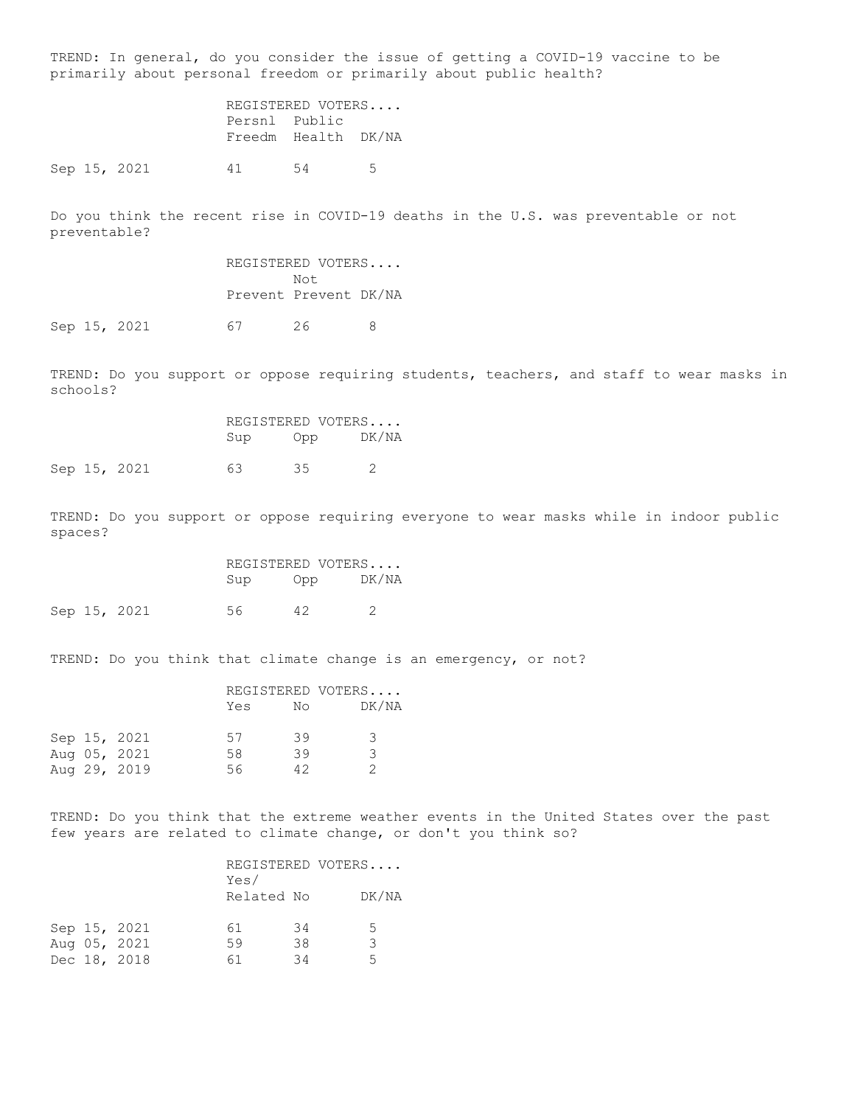TREND: In general, do you consider the issue of getting a COVID-19 vaccine to be primarily about personal freedom or primarily about public health?

> REGISTERED VOTERS.... Persnl Public Freedm Health DK/NA

Sep 15, 2021 41 54 5

Do you think the recent rise in COVID-19 deaths in the U.S. was preventable or not preventable?

> REGISTERED VOTERS.... Not Prevent Prevent DK/NA

Sep 15, 2021 67 26 8

TREND: Do you support or oppose requiring students, teachers, and staff to wear masks in schools?

 REGISTERED VOTERS.... Sup Opp DK/NA Sep 15, 2021 63 35 2

TREND: Do you support or oppose requiring everyone to wear masks while in indoor public spaces?

|  |              |     | REGISTERED VOTERS |       |  |  |
|--|--------------|-----|-------------------|-------|--|--|
|  |              | Sup | Opp               | DK/NA |  |  |
|  | Sep 15, 2021 | 56. | 42                |       |  |  |

TREND: Do you think that climate change is an emergency, or not?

|  |              |     |    | REGISTERED VOTERS |  |  |
|--|--------------|-----|----|-------------------|--|--|
|  |              | Yes | No | DK/NA             |  |  |
|  | Sep 15, 2021 | 57  | 39 | 3                 |  |  |
|  | Aug 05, 2021 | 58  | 39 | २                 |  |  |
|  | Aug 29, 2019 | 56. | 42 |                   |  |  |
|  |              |     |    |                   |  |  |

TREND: Do you think that the extreme weather events in the United States over the past few years are related to climate change, or don't you think so?

|  |              |      |            | REGISTERED VOTERS |  |  |
|--|--------------|------|------------|-------------------|--|--|
|  |              | Yes/ |            |                   |  |  |
|  |              |      | Related No | DK/NA             |  |  |
|  |              |      |            |                   |  |  |
|  | Sep 15, 2021 | 61   | 34         | 5.                |  |  |
|  | Aug 05, 2021 | 59   | 38         | २                 |  |  |
|  | Dec 18, 2018 | 61   | 34         | 5                 |  |  |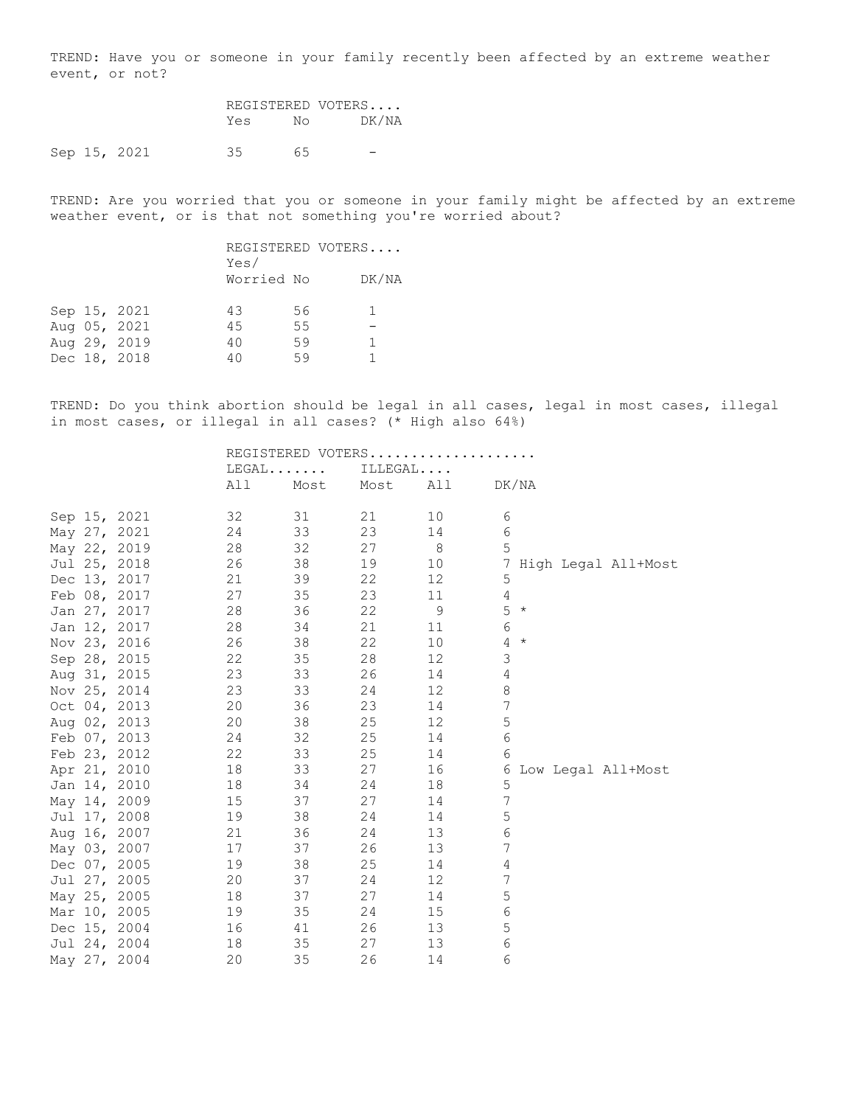TREND: Have you or someone in your family recently been affected by an extreme weather event, or not?

| REGISTERED VOTERS |    |       |  |
|-------------------|----|-------|--|
| Yes               | N٥ | DK/NA |  |
|                   |    |       |  |

Sep 15, 2021 35 65 -

TREND: Are you worried that you or someone in your family might be affected by an extreme weather event, or is that not something you're worried about?

|  |              | Yes/       |    | REGISTERED VOTERS |
|--|--------------|------------|----|-------------------|
|  |              | Worried No |    | DK/NA             |
|  | Sep 15, 2021 | 43         | 56 |                   |
|  | Aug 05, 2021 | 45         | 55 |                   |
|  | Aug 29, 2019 | 40         | 59 |                   |
|  | Dec 18, 2018 | 40         | 59 |                   |
|  |              |            |    |                   |

TREND: Do you think abortion should be legal in all cases, legal in most cases, illegal in most cases, or illegal in all cases? (\* High also 64%)

|  |              |     |         |      |      |         |                | REGISTERED VOTERS |                |         |                       |  |  |
|--|--------------|-----|---------|------|------|---------|----------------|-------------------|----------------|---------|-----------------------|--|--|
|  |              |     | $LEGAL$ |      |      | ILLEGAL |                |                   |                |         |                       |  |  |
|  |              | All |         | Most | Most |         | All            |                   |                | DK/NA   |                       |  |  |
|  | Sep 15, 2021 | 32  |         | 31   | 21   |         | 10             |                   | 6              |         |                       |  |  |
|  | May 27, 2021 | 24  |         | 33   | 23   |         | 14             |                   | 6              |         |                       |  |  |
|  | May 22, 2019 | 28  |         | 32   | 27   |         | 8 <sup>8</sup> |                   | 5              |         |                       |  |  |
|  | Jul 25, 2018 | 26  |         | 38   | 19   |         | 10             |                   |                |         | 7 High Legal All+Most |  |  |
|  | Dec 13, 2017 | 21  |         | 39   | 22   |         | 12             |                   | 5              |         |                       |  |  |
|  | Feb 08, 2017 | 27  |         | 35   | 23   |         | 11             |                   | 4              |         |                       |  |  |
|  | Jan 27, 2017 | 28  |         | 36   | 22   |         | $\mathsf 9$    |                   | 5              | $\star$ |                       |  |  |
|  | Jan 12, 2017 | 28  |         | 34   | 21   |         | 11             |                   | $\epsilon$     |         |                       |  |  |
|  | Nov 23, 2016 | 26  |         | 38   | 22   |         | 10             |                   | $\overline{4}$ | $\star$ |                       |  |  |
|  | Sep 28, 2015 | 22  |         | 35   | 28   |         | 12             |                   | 3              |         |                       |  |  |
|  | Aug 31, 2015 | 23  |         | 33   | 26   |         | 14             |                   | 4              |         |                       |  |  |
|  | Nov 25, 2014 | 23  |         | 33   | 24   |         | 12             |                   | $\,8\,$        |         |                       |  |  |
|  | Oct 04, 2013 | 20  |         | 36   | 23   |         | 14             |                   | 7              |         |                       |  |  |
|  | Aug 02, 2013 | 20  |         | 38   | 25   |         | 12             |                   | 5              |         |                       |  |  |
|  | Feb 07, 2013 | 24  |         | 32   | 25   |         | 14             |                   | 6              |         |                       |  |  |
|  | Feb 23, 2012 | 22  |         | 33   | 25   |         | 14             |                   | 6              |         |                       |  |  |
|  | Apr 21, 2010 | 18  |         | 33   | 27   |         | 16             |                   | 6              |         | Low Legal All+Most    |  |  |
|  | Jan 14, 2010 | 18  |         | 34   | 24   |         | 18             |                   | 5              |         |                       |  |  |
|  | May 14, 2009 | 15  |         | 37   | 27   |         | 14             |                   | $\overline{7}$ |         |                       |  |  |
|  | Jul 17, 2008 | 19  |         | 38   | 24   |         | 14             |                   | 5              |         |                       |  |  |
|  | Aug 16, 2007 | 21  |         | 36   | 24   |         | 13             |                   | 6              |         |                       |  |  |
|  | May 03, 2007 | 17  |         | 37   | 26   |         | 13             |                   | $\overline{7}$ |         |                       |  |  |
|  | Dec 07, 2005 | 19  |         | 38   | 25   |         | 14             |                   | 4              |         |                       |  |  |
|  | Jul 27, 2005 | 20  |         | 37   | 24   |         | 12             |                   | 7              |         |                       |  |  |
|  | May 25, 2005 | 18  |         | 37   | 27   |         | 14             |                   | 5              |         |                       |  |  |
|  | Mar 10, 2005 | 19  |         | 35   | 24   |         | 15             |                   | 6              |         |                       |  |  |
|  | Dec 15, 2004 | 16  |         | 41   | 26   |         | 13             |                   | 5              |         |                       |  |  |
|  | Jul 24, 2004 | 18  |         | 35   | 27   |         | 13             |                   | 6              |         |                       |  |  |
|  | May 27, 2004 | 20  |         | 35   | 26   |         | 14             |                   | 6              |         |                       |  |  |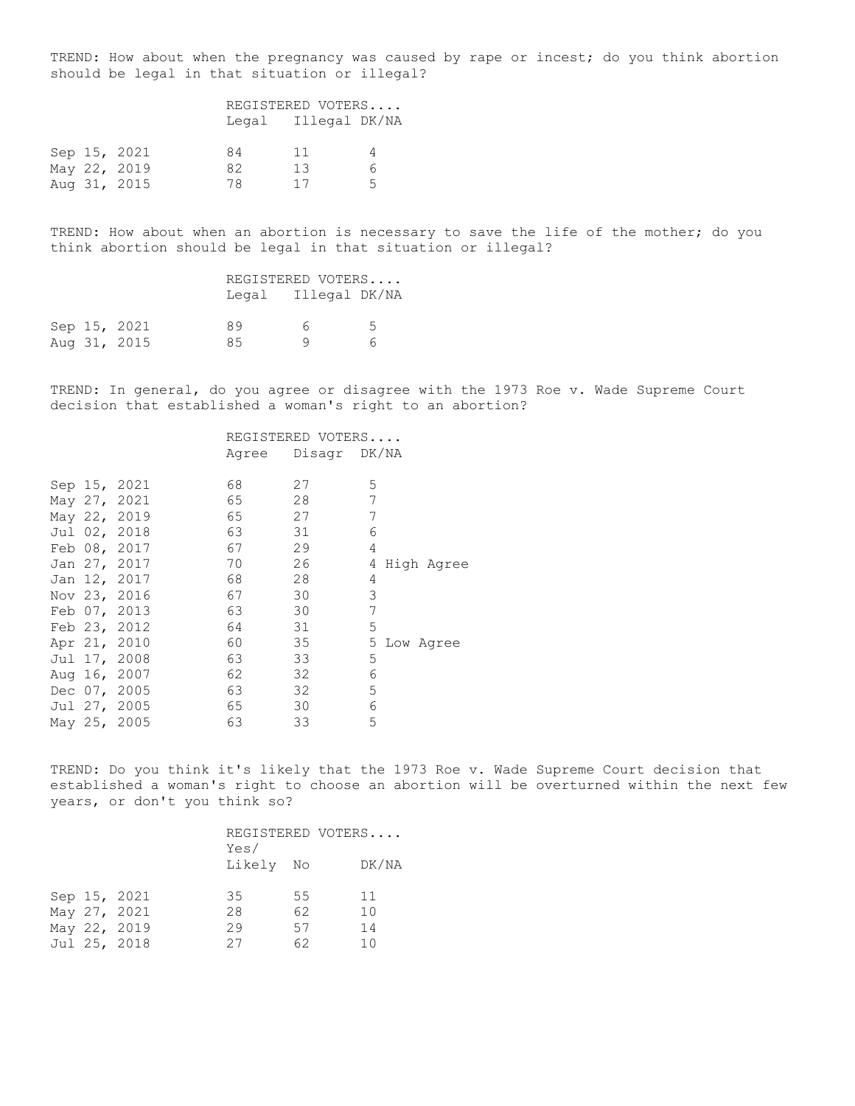TREND: How about when the pregnancy was caused by rape or incest; do you think abortion should be legal in that situation or illegal?

|  |              | REGISTERED VOTERS |                     |    |  |
|--|--------------|-------------------|---------------------|----|--|
|  |              |                   | Legal Illegal DK/NA |    |  |
|  | Sep 15, 2021 | 84                | 11                  | 4  |  |
|  | May 22, 2019 | 82                | 13                  | 6. |  |
|  | Aug 31, 2015 | 78                | 17                  | Б. |  |

TREND: How about when an abortion is necessary to save the life of the mother; do you think abortion should be legal in that situation or illegal?

|  |              |    | REGISTERED VOTERS   |    |
|--|--------------|----|---------------------|----|
|  |              |    | Legal Illegal DK/NA |    |
|  | Sep 15, 2021 | 89 | h.,                 | 5. |
|  | Aug 31, 2015 | 85 |                     | 6  |

TREND: In general, do you agree or disagree with the 1973 Roe v. Wade Supreme Court decision that established a woman's right to an abortion?

## REGISTERED VOTERS.... Agree Disagr DK/NA

|  | Sep 15, 2021 | 68 | 27 | 5               |
|--|--------------|----|----|-----------------|
|  |              |    |    |                 |
|  | May 27, 2021 | 65 | 28 | 7               |
|  | May 22, 2019 | 65 | 27 | 7               |
|  | Jul 02, 2018 | 63 | 31 | 6               |
|  | Feb 08, 2017 | 67 | 29 | 4               |
|  | Jan 27, 2017 | 70 | 26 | High Agree<br>4 |
|  | Jan 12, 2017 | 68 | 28 | 4               |
|  | Nov 23, 2016 | 67 | 30 | 3               |
|  | Feb 07, 2013 | 63 | 30 | 7               |
|  | Feb 23, 2012 | 64 | 31 | 5               |
|  | Apr 21, 2010 | 60 | 35 | 5 Low Agree     |
|  | Jul 17, 2008 | 63 | 33 | 5               |
|  | Aug 16, 2007 | 62 | 32 | 6               |
|  | Dec 07, 2005 | 63 | 32 | 5               |
|  | Jul 27, 2005 | 65 | 30 | 6               |
|  | May 25, 2005 | 63 | 33 | 5               |

TREND: Do you think it's likely that the 1973 Roe v. Wade Supreme Court decision that established a woman's right to choose an abortion will be overturned within the next few years, or don't you think so?

|  |              | Yes/      |    | REGISTERED VOTERS |  |
|--|--------------|-----------|----|-------------------|--|
|  |              | Likely No |    | DK/NA             |  |
|  | Sep 15, 2021 | 35        | 55 | 11                |  |
|  | May 27, 2021 | 28        | 62 | 10                |  |
|  | May 22, 2019 | 29        | 57 | 14                |  |
|  | Jul 25, 2018 | 27        | 62 | 10                |  |